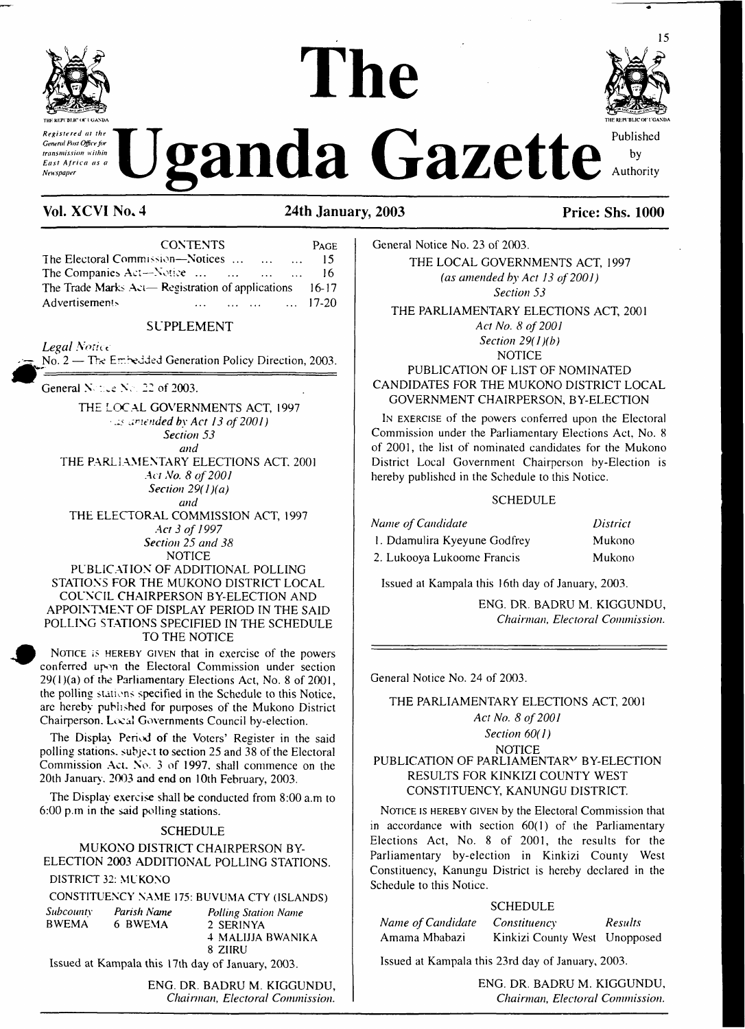

*Central Past Office kir*<br>*East Africa as a* **U** gand and a Gazette Authority

# **THE REPl B1JC <X' <sup>1</sup> GANL>A The Register to the Manufacture of the Contract of the Contract of the Contract of the Contract of the Contract of the Contract of the Contract of the Contract of the Authority REVERTISHED AND APPROXIMATE AND APPROXIMATE CONSTRUCTANT AND RELATIONS**



**Vol. XCVI No\* 4 24th January, 2003 Price: Shs. 1000**

| <b>CONTENTS</b>                                                    | PAGE       |
|--------------------------------------------------------------------|------------|
| The Electoral Commission—Notices                                   | $\dots$ 15 |
| The Companies Act—Notice<br>$\mathbf{1}$                           | -16        |
| The Trade Marks Act— Registration of applications $16-17$          |            |
| <b>Advertisements</b><br>$\ldots$ $\ldots$ $\ldots$ $\ldots$ 17-20 |            |

#### SUPPLEMENT

*Legal Notice* 

 $N_0$ ,  $2 -$  The Embedded Generation Policy Direction, 2003.

General  $N$  : i.e  $N$   $\approx$  22 of 2003.

THE LOCAL GOVERNMENTS ACT, 1997 *ameaded by Act 13 of2001) Section 53 and* THE PARLIAMENTARY ELECTIONS ACT. 2001 *Act No. 8 of2001 Section 29( <sup>1</sup> )(a)*

*and* THE ELECTORAL COMMISSION ACT, 1997 *Act 3 of 1997 Section 25 and 38* **NOTICE** 

PUBLICATION OF ADDITIONAL POLLING STATIONS FOR THE MUKONO DISTRICT LOCAL COUNCIL CHAIRPERSON BY-ELECTION AND APPOINTMENT OF DISPLAY PERIOD IN THE SAID POLLING STATIONS SPECIFIED IN THE SCHEDULE TO THE NOTICE

NOTICE IS HEREBY GIVEN that in exercise of the powers conferred upon the Electoral Commission under section  $29(1)(a)$  of the Parliamentary Elections Act, No. 8 of 2001, the polling stations specified in the Schedule to this Notice, are hereby published for purposes of the Mukono District Chairperson. Local Governments Council by-election.

The Display Period of the Voters' Register in the said polling stations, subject to section 25 and 38 of the Electoral Commission Act. No. 3 of 1997. shall commence on the 20th January . 2003 and end on 10th February, 2003.

The Display exercise shall be conducted from 8:00 a.m to 6:00 p.m in the said polling stations.

#### **SCHEDULE**

MUKONO DISTRICT CHAIRPERSON BY-ELECTION 2003 ADDITIONAL POLLING STATIONS.

## DISTRICT 32: MUKONO

|                  |             | CONSTITUENCY NAME 175: BUVUMA CTY (ISLANDS) |
|------------------|-------------|---------------------------------------------|
| <i>Subcounty</i> | Parish Name | <b>Polling Station Name</b>                 |

BWEMA 6 BWEMA 2 SERINYA 4 MALIJJA BWANIKA 8 ZIIRU

Issued at Kampala this 17th day of January, 2003.

ENG. DR. BADRU M. KIGGUNDU, *Chairman, Electoral Commission.*

General Notice No. 23 of 2003. THE LOCAL GOVERNMENTS ACT, 1997 *(as amended by Act 13 of2001) Section 53*

THE PARLIAMENTARY ELECTIONS ACT, 2001 *Act No. 8 of 2001 Section 29(1 )(b)*

**NOTICE** PUBLICATION OF LIST OF NOMINATED CANDIDATES FOR THE MUKONO DISTRICT LOCAL GOVERNMENT CHAIRPERSON, BY-ELECTION

I<sup>n</sup> exercise of the powers conferred upon the Electoral Commission under the Parliamentary Elections Act, No. 8 of 2001, the list of nominated candidates for the Mukono District Local Government Chairperson by-Election is hereby published in the Schedule to this Notice.

#### **SCHEDULE**

| Name of Candidate            | District |
|------------------------------|----------|
| 1. Ddamulira Kyeyune Godfrey | Mukono   |
| 2. Lukooya Lukoome Francis   | Mukono   |

Issued at Kampala this 16th day of January, 2003.

ENG. DR. BADRU M. KIGGUNDU, *Chairman, Electoral Commission.*

General Notice No. 24 of 2003.

THE PARLIAMENTARY ELECTIONS ACT, 2001 *Act No. 8 of 2001 Section 60(1)* **NOTICE** PUBLICATION OF PARLIAMENTARY BY-ELECTION

# RESULTS FOR KINKIZI COUNTY WEST CONSTITUENCY, KANUNGU DISTRICT.

NOTICE IS HEREBY GIVEN by the Electoral Commission that in accordance with section 60(1) of the Parliamentary Elections Act, No. 8 of 2001, the results for the Parliamentary by-election in Kinkizi County West Constituency, Kanungu District is hereby declared in the Schedule to this Notice.

#### **SCHEDULE**

| Name of Candidate | <i>Constituency</i>           | <b>Results</b> |
|-------------------|-------------------------------|----------------|
| Amama Mbabazi     | Kinkizi County West Unopposed |                |

Issued at Kampala this 23rd day of January, 2003.

ENG. DR. BADRU M. KIGGUNDU. *Chairman, Electoral Commission.*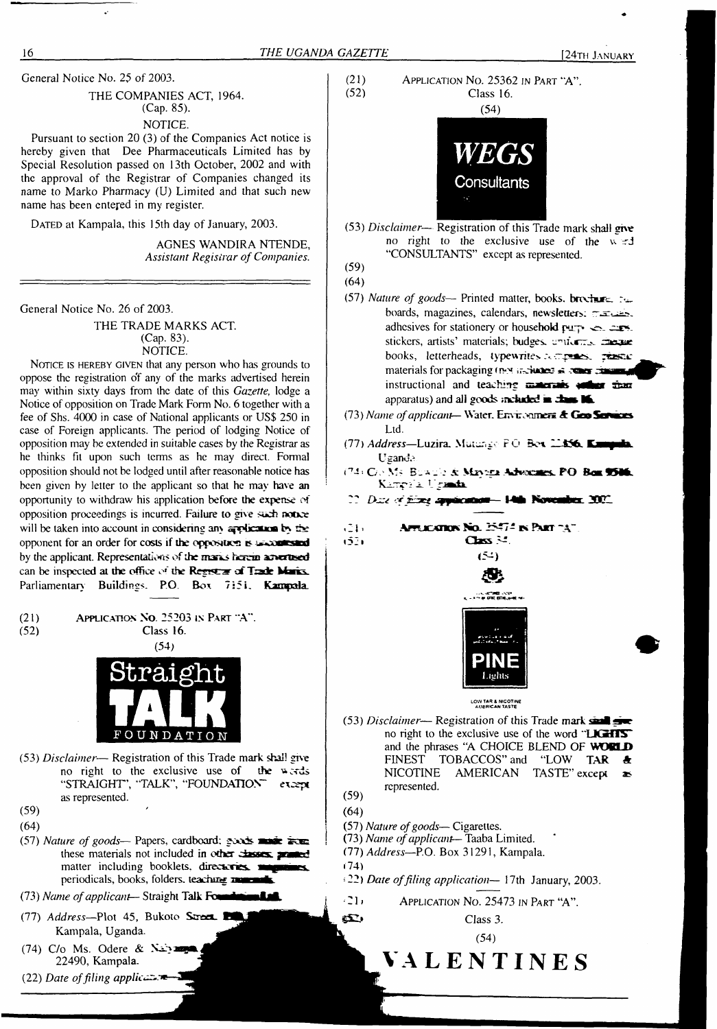General Notice No. 25 of 2003.

THE COMPANIES ACT, 1964. (Cap. 85).

#### NOTICE.

Pursuant to section 20 (3) of the Companies Act notice is hereby given that Dee Pharmaceuticals Limited has by Special Resolution passed on 13th October, 2002 and with the approval of the Registrar of Companies changed its name to Marko Pharmacy (U) Limited and that such new name has been entered in my register.

DATED at Kampala, this 15th day of January, 2003.

AGNES WANDIRA NTENDE, *Assistant Registrar ofCompanies.*

General Notice No. 26 of 2003.

THE TRADE MARKS ACT. (Cap. 83). NOTICE.

NOTICE IS HEREBY GIVEN that any person who has grounds to oppose the registration o'f any of the marks advertised herein may within sixty days from the date of this *Gazette,* lodge a Notice of opposition on Trade Mark Form No. 6 together with a fee of Shs. 4000 in case of National applicants or US\$ 250 in case of Foreign applicants. The period of lodging Notice of opposition may be extended in suitable cases by the Registrar as he thinks fit upon such terms as he may direct. Formal opposition should not be lodged until after reasonable notice has been given by letter to the applicant so that he may have an opportunity to withdraw his application before the expense of opposition proceedings is incurred. Failure to give such notice will be taken into account in considering any application by the opponent for an order for costs if the opposition is second stand by the applicant. Representations of the manic havem an errord can be inspected at the office of the **Registrar** of **Trade** Marks. Parliamentary Buildings. P.O. Box 7:5i. **Kampala.**





(53) *Disclaimer*— Registration of this Trade mark shall give no right to the exclusive use of the v. "CONSULTANTS" except as represented. (59)

(64)

- (57) Nature of goods-- Printed matter, books, brochure. the boards, magazines, calendars, newsletters:  $\tau$ -same adhesives for stationery or household  $\mu$ ry.  $\in$  cors. stickers, artists' materials; budges. conforms. cheque books, letterheads, typewrites acreases, rises materials for packaging (not included  $\bar{m}$  **x**  $\bar{m}$ **IIII** instructional and teaching **materials** solling than apparatus) and all goods **included ■ <sup>c</sup>Lhk** K.
- (73) *Name ofapplicant—* Water. Environmos **A GeoSmaoes** Ltd.
- (77) *Address—*Luzira. <Muiur.gr> PC' **Bex 22£56\_ KjHqpribu** Uganda
- **G.' M'** B\_ \_ i **AdveocMeSb. FO Boa ©M<sup>l</sup>**

22 Date of filing application-14th November, 2002.

 $(21)$ APRICATION No. 25474 IN PART "A"  $\cos \approx$  $(52)$  $(54)$ 



**LOW TAR & NICOTINE AMERICAN TASTE**

(53) *Disclaimer*— Registration of this Trade mark  $\frac{1}{2}$ no right to the exclusive use of the word "**LKHIS**" and the phrases "A CHOICE BLEND OF **WORLD** FINEST TOBACCOS" and "LOW TAR & NICOTINE AMERICAN TASTE" except  $\bullet$  $AMERICAN$  TASTE" except  $\approx$ represented.

(57) *Nature ofgoods—* Cigarettes. (73) *Name ofapplicant—* Taaba Limited.

- (77) *Address—*P.O. Box 31291, Kampala.
- 

»• 22) *Date offiling application—* 17th January, 2003.

•2b Application No. 25473 in <sup>P</sup>art "A".

Class 3.

**fc VALENTINES**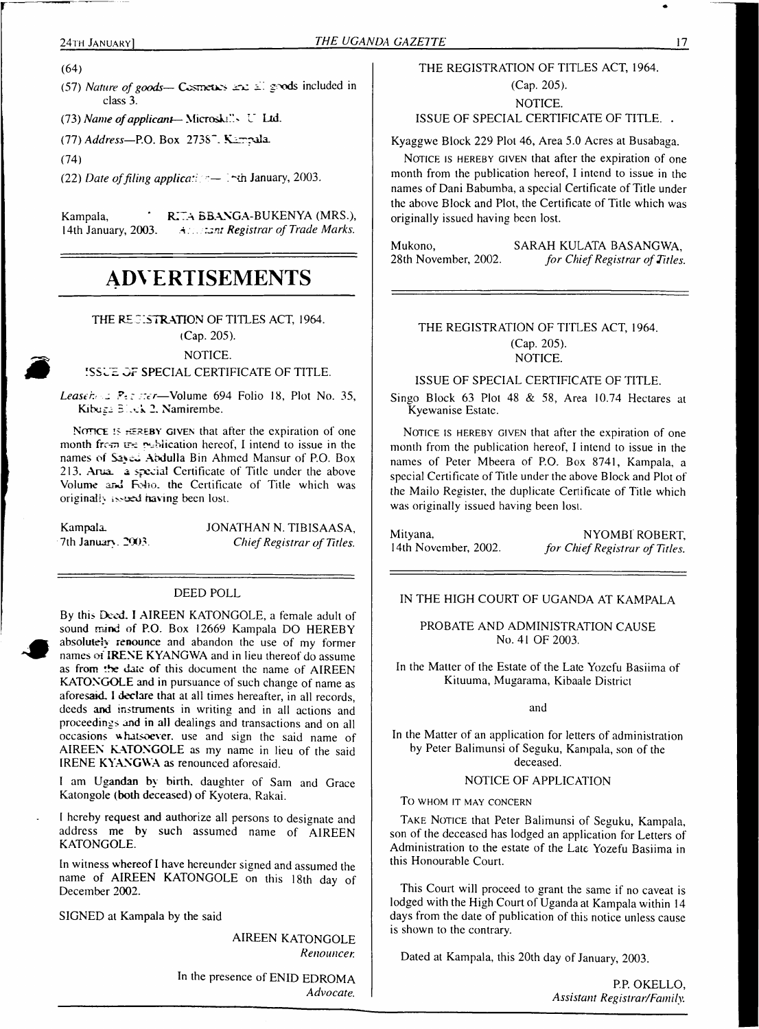(64)

(57) *Nature of goods*— Cosmetos and all goods included in class 3.

(73) *Name ofapplicant—* Microski''.' L' Lid.

(77) *Address—*P.O.Box 2738". K-rrrxiIa.

(74)

(22) *Date offiling applica/* January, 2003.

Kampala, **'** RITA BBANGA-BUKENYA (MRS.), 14th January, 2003. All *All Registrar of Trade Marks*. <sup>1</sup>4th January, 2003. <sup>A</sup> .. *tam Registrar of Trade Marks.*

# **ADVERTISEMENTS**

#### THE REGISTRATION OF TITLES ACT, 1964. (Cap. 205).

# NOTICE.

#### ISSUE OF SPECIAL CERTIFICATE OF TITLE.

*Leased ~ ::er*—Volume 694 Folio 18, Plot No. 35, Kibuza Bliek 2. Namirembe.

NOTICE IS HEREBY GIVEN that after the expiration of one month from the publication hereof. I intend to issue in the names of Saved Abdulla Bin Ahmed Mansur of P.O. Box 213. Arua. a special Certificate of Title under the above Volume and Felio, the Certificate of Title which was originally issued having been lost.

Kampala. 7th January. 2003. JONATHAN N. TIBISAASA, *ChiefRegistrar of Titles.*

#### DEED POLL

By this Deed. I AIREEN KATONGOLE, a female adult of sound mind of P.O. Box 12669 Kampala DO HEREBY absolutely renounce and abandon the use of my former names of IRENE KYANGWA and in lieu thereof do assume as from the date of this document the name of AIREEN KATONGOLE and in pursuance of such change of name as aforesaid. I declare that at all times hereafter, in all records, deeds and instruments in writing and in all actions and proceedings and in all dealings and transactions and on all occasions whatsoever, use and sign the said name of AIREEN KATONGOLE as my name in lieu of the said IRENE KYANGWA as renounced aforesaid.

<sup>I</sup> am Ugandan by birth, daughter of Sam and Grace Katongole (both deceased) of Kyotera, Rakai.

<sup>I</sup> hereby request and authorize all persons to designate and address me bv such assumed name of AIREEN KATONGOLE.

In witness whereof I have hereunder signed and assumed the name of AIREEN KATONGOLE on this 18th day of December 2002.

SIGNED at Kampala by the said

AIREEN KATONGOLE *Renounces*

In the presence of ENID EDROMA *Advocate.*

#### THE REGISTRATION OF TITLES ACT, 1964.

(Cap. 205). NOTICE.

ISSUE OF SPECIAL CERTIFICATE OF TITLE. .

Kyaggwe Block 229 Plot 46, Area 5.0 Acres at Busabaga.

NOTICE IS HEREBY GIVEN that after the expiration of one month from the publication hereof, I intend to issue in the names of Dani Babumba, a special Certificate of Title under the above Block and Plot, the Certificate of Title which was originally issued having been lost.

Mukono, SARAH KULATA BASANGWA, 28th November, 2002. *for Chief Registrar of Titles* 28th November, 2002. *for ChiefRegistrar ofTitles.*

#### THE REGISTRATION OF TITLES ACT, 1964. (Cap. 205). NOTICE.

ISSUE OF SPECIAL CERTIFICATE OF TITLE.

Singo Block 63 Plot 48 & 58, Area 10.74 Hectares at Kyewanise Estate.

NOTICE IS HEREBY GIVEN that after the expiration of one month from the publication hereof, I intend to issue in the names of Peter Mbeera of P.O. Box 8741, Kampala, a special Certificate of Title under the above Block and Plot of the Mailo Register, the duplicate Certificate of Title which was originally issued having been lost.

Mityana, NYOMBI ROBERT, 14th November, 2002. *for Chief Registrar of Titles.* 

<sup>1</sup>4th November, 2002. *for ChiefRegistrar of Titles.*

#### IN THE HIGH COURT OF UGANDA AT KAMPALA

#### PROBATE AND ADMINISTRATION CAUSE No. 41 OF 2003.

In the Matter of the Estate of the Late Yozefu Basiima of Kituuma, Mugarama, Kibaale District

and

In the Matter of an application for letters of administration by Peter Balimunsi of Seguku, Kampala, son of the deceased.

#### NOTICE OF APPLICATION

To whom it may concern

TAKE NOTICE that Peter Balimunsi of Seguku, Kampala, son of the deceased has lodged an application for Letters of Administration to the estate of the Late Yozefu Basiima in this Honourable Court.

This Court will proceed to grant the same if no caveat is lodged with the High Court of Uganda at Kampala within 14 days from the date of publication of this notice unless cause is shown to the contrary.

Dated at Kampala, this 20th day of January, 2003.

P.P. OKELLO, *Assistant Registrar/Family.*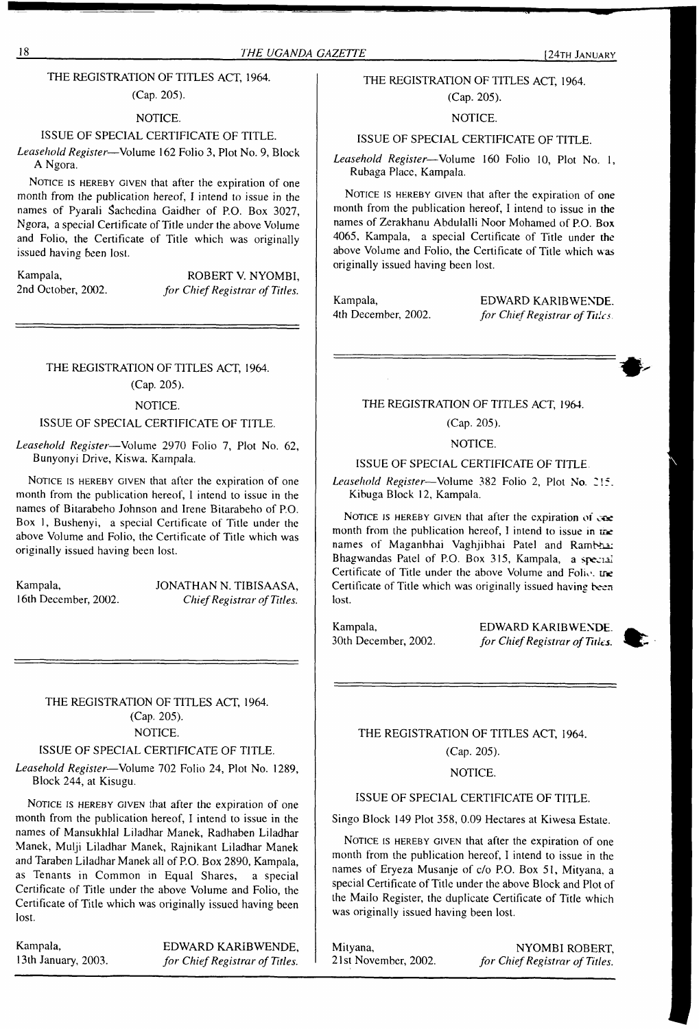#### 18 *THE UGANDA GAZETTE* [24th January

#### THE REGISTRATION OF TITLES ACT, 1964.

#### (Cap. 205).

#### NOTICE.

#### ISSUE OF SPECIAL CERTIFICATE OF TITLE.

*Leasehold Register*—Volume 162 Folio 3, Plot No. 9, Block **A** Ngora.

NOTICE IS HEREBY GIVEN that after the expiration of one month from the publication hereof, I intend to issue in the names of Pyarali Sachcdina Gaidher of P.O. Box 3027, Ngora, a special Certificate of Title under the above Volume and Folio, the Certificate of Title which was originally issued having been lost.

Kampala, ROBERT V. NYOMBI,<br>
2nd October. 2002. *for Chief Registrar of Titles.*  $for$  *Chief Registrar of Titles.* 

#### THE REGISTRATION OF TITLES ACT, 1964.

(Cap. 205).

#### NOTICE.

#### ISSUE OF SPECIAL CERTIFICATE OF TITLE.

*Leasehold Register*—Volume 2970 Folio 7, Plot No. 62, Bunyonyi Drive, Kiswa. Kampala.

NOTICE IS HEREBY GIVEN that after the expiration of one month from the publication hereof, <sup>1</sup> intend to issue in the names of Bitarabeho Johnson and Irene Bitarabeho of P.O. Box 1, Bushenyi, a special Certificate of Title under the above Volume and Folio, the Certificate of Title which was originally issued having been lost.

Kampala, JONATHAN N. TIBISAASA,<br>16th December, 2002. Chief Registrar of Titles.  $Chief Registrar of Titles.$ 

#### THE REGISTRATION OF TITLES ACT, 1964. (Cap. 205). NOTICE.

#### ISSUE OF SPECIAL CERTIFICATE OF TITLE.

*Leasehold Register*—Volume 702 Folio 24, Plot No. 1289, Block 244, at Kisugu.

NOTICE IS HEREBY GIVEN that after the expiration of one month from the publication hereof, I intend to issue in the names of Mansukhlal Liladhar Manek, Radhaben Liladhar Manek, Mulji Liladhar Manek, Rajnikant Liladhar Manek and Taraben Liladhar Manek all of P.O. Box 2890, Kampala, as Tenants in Common in Equal Shares, a special Certificate of Title under the above Volume and Folio, the Certificate of Title which was originally issued having been lost.

Kampala, EDWARD KARIBWENDE, <sup>1</sup>3th January, 2003. *for ChiefRegistrar of Titles.*

#### THE REGISTRATION OF TITLES ACT, 1964. (Cap. 205).

NOTICE.

#### ISSUE OF SPECIAL CERTIFICATE OF TITLE.

*Leasehold Register*—Volume 160 Folio 10, Plot No. 1, Rubaga Place, Kampala.

NOTICE IS HEREBY GIVEN that after the expiration of one month from the publication hereof, I intend to issue in the names of Zerakhanu Abdulalli Noor Mohamed of P.O. Box 4065, Kampala, a special Certificate of Title under the above Volume and Folio, the Certificate of Title which was originally issued having been lost.

Kampala, EDWARD KARIBWENDE.<br>4th December, 2002. for Chief Registrar of Tules. 4th December, 2002. *for ChiefRegistrar of Tides*

#### THE REGISTRATION OF TITLES ACT, 1964.

(Cap. 205).

#### NOTICE.

#### ISSUE OF SPECIAL CERTIFICATE OF TITLE

*Leasehold Register*—Volume 382 Folio 2, Plot No. 2'<sup>5</sup> Kibuga Block 12, Kampala.

NOTICE IS HEREBY GIVEN that after the expiration of  $\cos$ month from the publication hereof, I intend to issue in the names of Maganbhai Vaghjibhai Patel and Rambha: Bhagwandas Patel of P.O. Box 315, Kampala, a special Certificate of Title under the above Volume and Folic, tre Certificate of Title which was originally issued having been lost.

Kampala, 30th December, 2002. EDWARD KARIBWENDE. *for ChiefRegistrar ofTitles.*



THE REGISTRATION OF TITLES ACT, 1964. (Cap. 205).

#### NOTICE.

#### ISSUE OF SPECIAL CERTIFICATE OF TITLE.

Singo Block 149 Plot 358, 0.09 Hectares at Kiwesa Estate.

NOTICE IS HEREBY GIVEN that after the expiration of one month from the publication hereof, I intend to issue in the names of Eryeza Musanje of c/o P.O. Box 51, Mityana, a special Certificate of Title under the above Block and Plot of the Mailo Register, the duplicate Certificate of Title which was originally issued having been lost.

Mityana, NYOMBI ROBERT,<br>21st November, 2002. for Chief Registrar of Titles. <sup>21</sup> st November, 2002. *for ChiefRegistrar of Titles.*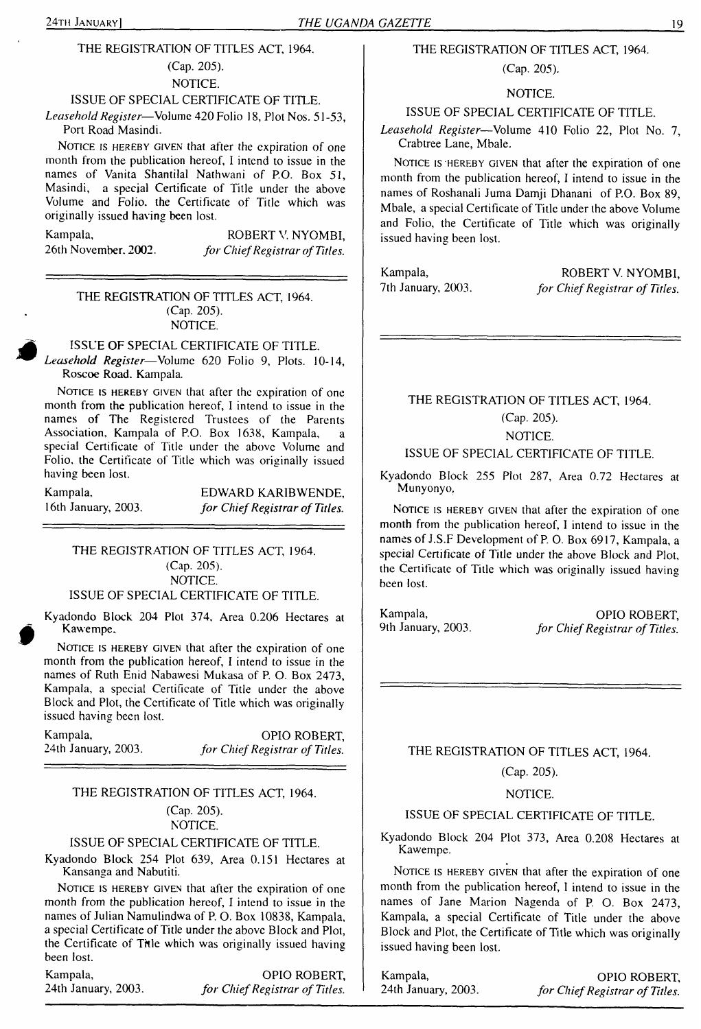#### THE REGISTRATION OF TITLES ACT, 1964.

## (Cap. 205).

#### NOTICE.

#### ISSUE OF SPECIAL CERTIFICATE OF TITLE.

*Leasehold Register*—Volume 420 Folio 18, Plot Nos. 51-53, Port Road Masindi.

NOTICE IS HEREBY GIVEN that after the expiration of one month from the publication hereof, I intend to issue in the names of Vanita Shantilal Nathwani of P.O. Box 51, Masindi, a special Certificate of Title under the above Volume and Folio, the Certificate of Title which was originally issued having been lost.

Kampala, ROBERT V. NYOMBI,<br>26th November, 2002. for Chief Registrar of Titles. 26th November. 2002. *for ChiefRegistrar ofTitles.*

#### THE REGISTRATION OF TITLES ACT, 1964. (Cap. 205). NOTICE.

ISSUE OF SPECIAL CERTIFICATE OF TITLE. *Leasehold Register*—Volume 620 Folio 9, Plots. 10-14, Roscoe Road. Kampala.

NOTICE IS HEREBY GIVEN that after the expiration of one month from the publication hereof, I intend to issue in the names of The Registered Trustees of the Parents Association. Kampala of P.O. Box 1638, Kampala, a special Certificate of Title under the above Volume and Folio, the Certificate of Title which was originally issued having been lost.

Kampala, EDWARD KARIBWENDE,<br>16th January, 2003. for Chief Registrar of Titles. <sup>1</sup>6th January, 2003. *for ChiefRegistrar of Titles.*

#### THE REGISTRATION OF TITLES ACT, 1964. (Cap. 205). NOTICE.

#### ISSUE OF SPECIAL CERTIFICATE OF TITLE.

Kyadondo Block 204 Plot 374, Area 0.206 Hectares at Kawempe.

NOTICE IS HEREBY GIVEN that after the expiration of one month from the publication hereof, I intend to issue in the names of Ruth Enid Nabawesi Mukasa of P. O. Box 2473, Kampala, a special Certificate of Title under the above Block and Plot, the Certificate of Title which was originally issued having been lost.

Kampala, OPIO ROBERT,<br>
24th January, 2003. *for Chief Registrar of Titles.* 24th January, 2003. *for ChiefRegistrar of Titles.*

#### THE REGISTRATION OF TITLES ACT, 1964.

# (Cap. 205).

## NOTICE.

#### ISSUE OF SPECIAL CERTIFICATE OF TITLE.

Kyadondo Block 254 Plot 639, Area 0.151 Hectares at Kansanga and Nabutiti.

NOTICE IS HEREBY GIVEN that after the expiration of one month from the publication hereof, I intend to issue in the names of Julian Namulindwa of P. O. Box 10838, Kampala, a special Certificate of Title under the above Block and Plot, the Certificate of Title which was originally issued having been lost.

Kampala, Campala, Campala, Campala, Campala, Campala, Campala, Campalan, Campalan, Campalan, Campalan, Campala<br>
State of Titles, Campalan and Campalan and Campalan and Campalan and Campalan and Campalan and Campalan and C 24th January, 2003. *for ChiefRegistrar of Titles.*

#### THE REGISTRATION OF TITLES ACT, 1964.

#### (Cap. 205).

#### NOTICE.

#### ISSUE OF SPECIAL CERTIFICATE OF TITLE.

*Leasehold Register*—Volume 410 Folio 22, Plot No. 7, Crabtree Lane, Mbale.

NOTICE IS HEREBY GIVEN that after the expiration of one month from the publication hereof, I intend to issue in the names of Roshanali Juma Damji Dhanani of P.O. Box 89, Mbale, a special Certificate of Title under the above Volume and Folio, the Certificate of Title which was originally issued having been lost.

Kampala, ROBERT V. NYOMBI,<br>
7th January, 2003. *for Chief Registrar of Titles*. 7th January, 2003. *for ChiefRegistrar of Titles.*

# THE REGISTRATION OF TITLES ACT, 1964. (Cap. 205).

NOTICE.

#### ISSUE OF SPECIAL CERTIFICATE OF TITLE.

Kyadondo Block 255 Plot 287, Area 0.72 Hectares at Munyonyo,

NOTICE IS HEREBY GIVEN that after the expiration of one month from the publication hereof, I intend to issue in the names of J.S.F Development of P.O. Box 6917, Kampala, a special Certificate of Title under the above Block and Plot, the Certificate of Title which was originally issued having been lost.

Kampala, CPIO ROBERT,<br>
9th January, 2003. *for Chief Registrar of Titles*. 9th January, 2003. *for ChiefRegistrar of Titles.*

THE REGISTRATION OF TITLES ACT, 1964.

#### (Cap. 205).

#### NOTICE.

#### ISSUE OF SPECIAL CERTIFICATE OF TITLE.

Kyadondo Block 204 Plot 373, Area 0.208 Hectares at Kawempe.

NOTICE IS HEREBY GIVEN that after the expiration of one month from the publication hereof, <sup>1</sup> intend to issue in the names of Jane Marion Nagenda of P. O. Box 2473, Kampala, a special Certificate of Title under the above Block and Plot, the Certificate of Title which was originally issued having been lost.

Kampala, CPIO ROBERT, 24th January, 2003. *for Chief Registrar of Titles.* 24th January, 2003. *for ChiefRegistrar of Titles.*